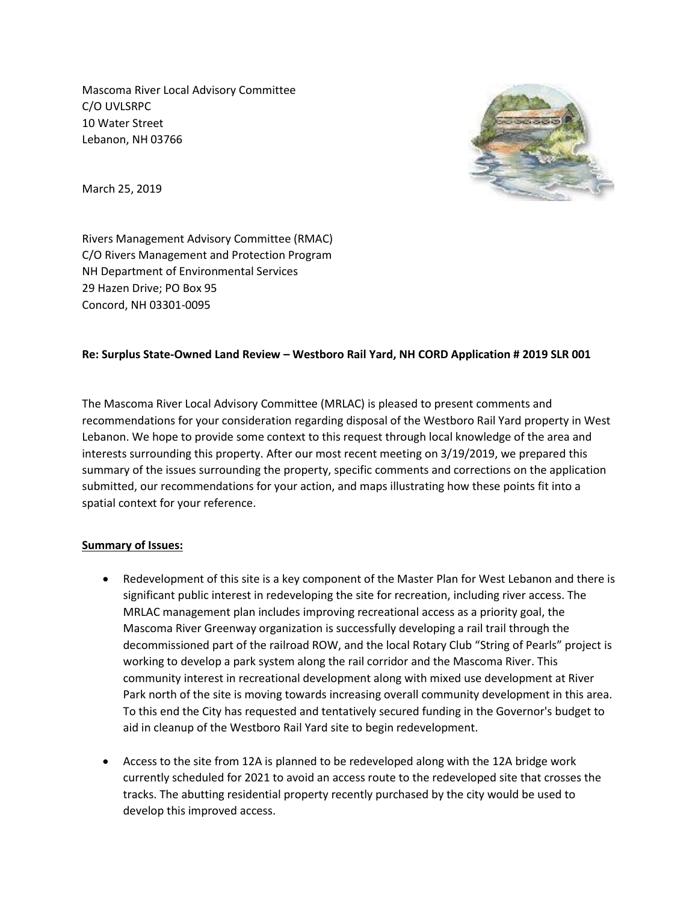Mascoma River Local Advisory Committee C/O UVLSRPC 10 Water Street Lebanon, NH 03766



March 25, 2019

Rivers Management Advisory Committee (RMAC) C/O Rivers Management and Protection Program NH Department of Environmental Services 29 Hazen Drive; PO Box 95 Concord, NH 03301-0095

## **Re: Surplus State-Owned Land Review – Westboro Rail Yard, NH CORD Application # 2019 SLR 001**

The Mascoma River Local Advisory Committee (MRLAC) is pleased to present comments and recommendations for your consideration regarding disposal of the Westboro Rail Yard property in West Lebanon. We hope to provide some context to this request through local knowledge of the area and interests surrounding this property. After our most recent meeting on 3/19/2019, we prepared this summary of the issues surrounding the property, specific comments and corrections on the application submitted, our recommendations for your action, and maps illustrating how these points fit into a spatial context for your reference.

## **Summary of Issues:**

- Redevelopment of this site is a key component of the Master Plan for West Lebanon and there is significant public interest in redeveloping the site for recreation, including river access. The MRLAC management plan includes improving recreational access as a priority goal, the Mascoma River Greenway organization is successfully developing a rail trail through the decommissioned part of the railroad ROW, and the local Rotary Club "String of Pearls" project is working to develop a park system along the rail corridor and the Mascoma River. This community interest in recreational development along with mixed use development at River Park north of the site is moving towards increasing overall community development in this area. To this end the City has requested and tentatively secured funding in the Governor's budget to aid in cleanup of the Westboro Rail Yard site to begin redevelopment.
- Access to the site from 12A is planned to be redeveloped along with the 12A bridge work currently scheduled for 2021 to avoid an access route to the redeveloped site that crosses the tracks. The abutting residential property recently purchased by the city would be used to develop this improved access.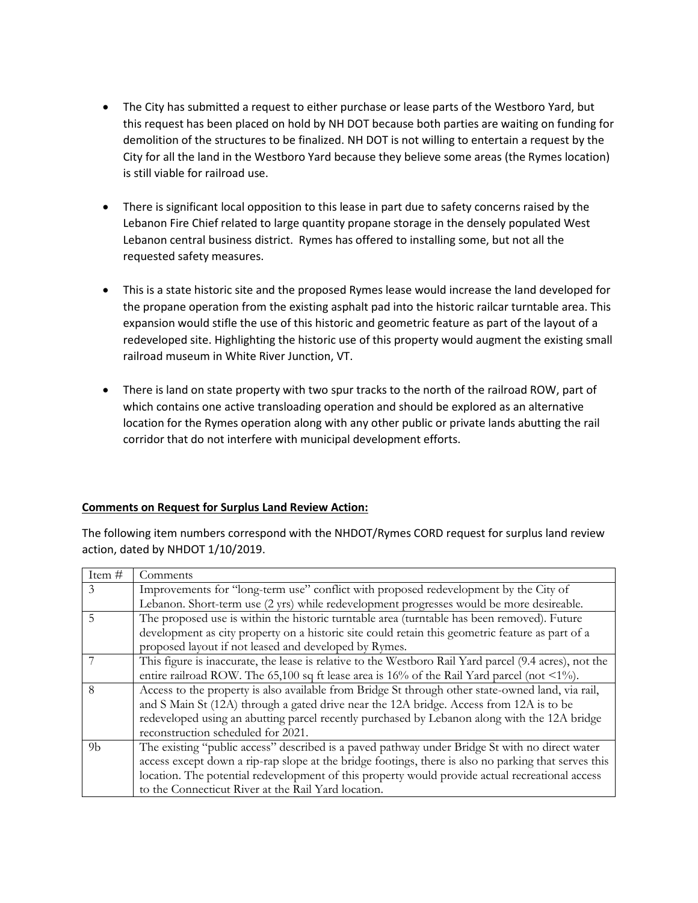- The City has submitted a request to either purchase or lease parts of the Westboro Yard, but this request has been placed on hold by NH DOT because both parties are waiting on funding for demolition of the structures to be finalized. NH DOT is not willing to entertain a request by the City for all the land in the Westboro Yard because they believe some areas (the Rymes location) is still viable for railroad use.
- There is significant local opposition to this lease in part due to safety concerns raised by the Lebanon Fire Chief related to large quantity propane storage in the densely populated West Lebanon central business district. Rymes has offered to installing some, but not all the requested safety measures.
- This is a state historic site and the proposed Rymes lease would increase the land developed for the propane operation from the existing asphalt pad into the historic railcar turntable area. This expansion would stifle the use of this historic and geometric feature as part of the layout of a redeveloped site. Highlighting the historic use of this property would augment the existing small railroad museum in White River Junction, VT.
- There is land on state property with two spur tracks to the north of the railroad ROW, part of which contains one active transloading operation and should be explored as an alternative location for the Rymes operation along with any other public or private lands abutting the rail corridor that do not interfere with municipal development efforts.

## **Comments on Request for Surplus Land Review Action:**

The following item numbers correspond with the NHDOT/Rymes CORD request for surplus land review action, dated by NHDOT 1/10/2019.

| Item#          | Comments                                                                                               |
|----------------|--------------------------------------------------------------------------------------------------------|
| 3              | Improvements for "long-term use" conflict with proposed redevelopment by the City of                   |
|                | Lebanon. Short-term use (2 yrs) while redevelopment progresses would be more desireable.               |
| 5              | The proposed use is within the historic turntable area (turntable has been removed). Future            |
|                | development as city property on a historic site could retain this geometric feature as part of a       |
|                | proposed layout if not leased and developed by Rymes.                                                  |
|                | This figure is inaccurate, the lease is relative to the Westboro Rail Yard parcel (9.4 acres), not the |
|                | entire railroad ROW. The 65,100 sq ft lease area is 16% of the Rail Yard parcel (not <1%).             |
| 8              | Access to the property is also available from Bridge St through other state-owned land, via rail,      |
|                | and S Main St (12A) through a gated drive near the 12A bridge. Access from 12A is to be                |
|                | redeveloped using an abutting parcel recently purchased by Lebanon along with the 12A bridge           |
|                | reconstruction scheduled for 2021.                                                                     |
| 9 <sub>b</sub> | The existing "public access" described is a paved pathway under Bridge St with no direct water         |
|                | access except down a rip-rap slope at the bridge footings, there is also no parking that serves this   |
|                | location. The potential redevelopment of this property would provide actual recreational access        |
|                | to the Connecticut River at the Rail Yard location.                                                    |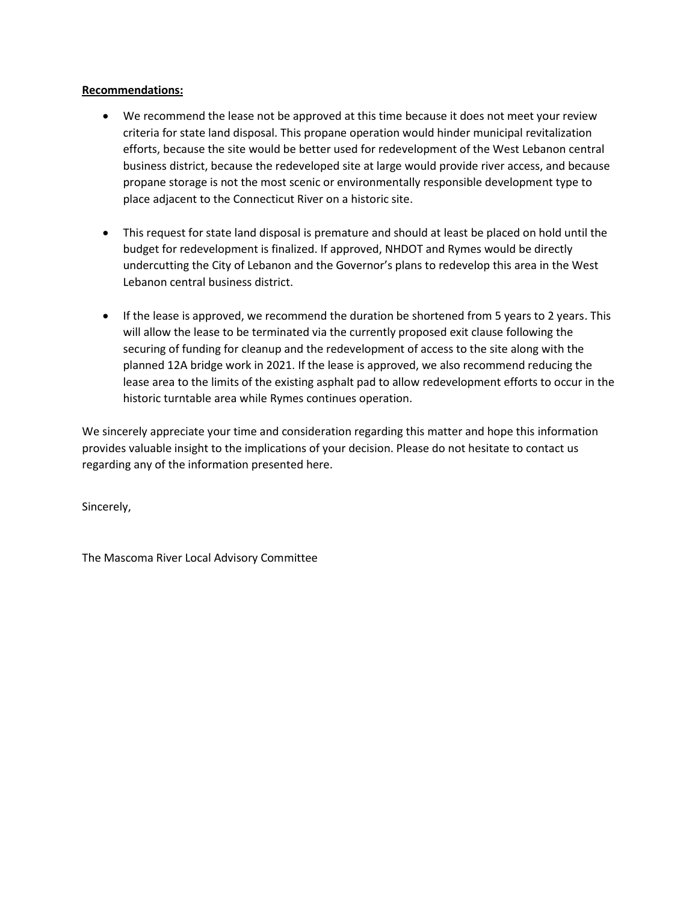## **Recommendations:**

- We recommend the lease not be approved at this time because it does not meet your review criteria for state land disposal. This propane operation would hinder municipal revitalization efforts, because the site would be better used for redevelopment of the West Lebanon central business district, because the redeveloped site at large would provide river access, and because propane storage is not the most scenic or environmentally responsible development type to place adjacent to the Connecticut River on a historic site.
- This request for state land disposal is premature and should at least be placed on hold until the budget for redevelopment is finalized. If approved, NHDOT and Rymes would be directly undercutting the City of Lebanon and the Governor's plans to redevelop this area in the West Lebanon central business district.
- If the lease is approved, we recommend the duration be shortened from 5 years to 2 years. This will allow the lease to be terminated via the currently proposed exit clause following the securing of funding for cleanup and the redevelopment of access to the site along with the planned 12A bridge work in 2021. If the lease is approved, we also recommend reducing the lease area to the limits of the existing asphalt pad to allow redevelopment efforts to occur in the historic turntable area while Rymes continues operation.

We sincerely appreciate your time and consideration regarding this matter and hope this information provides valuable insight to the implications of your decision. Please do not hesitate to contact us regarding any of the information presented here.

Sincerely,

The Mascoma River Local Advisory Committee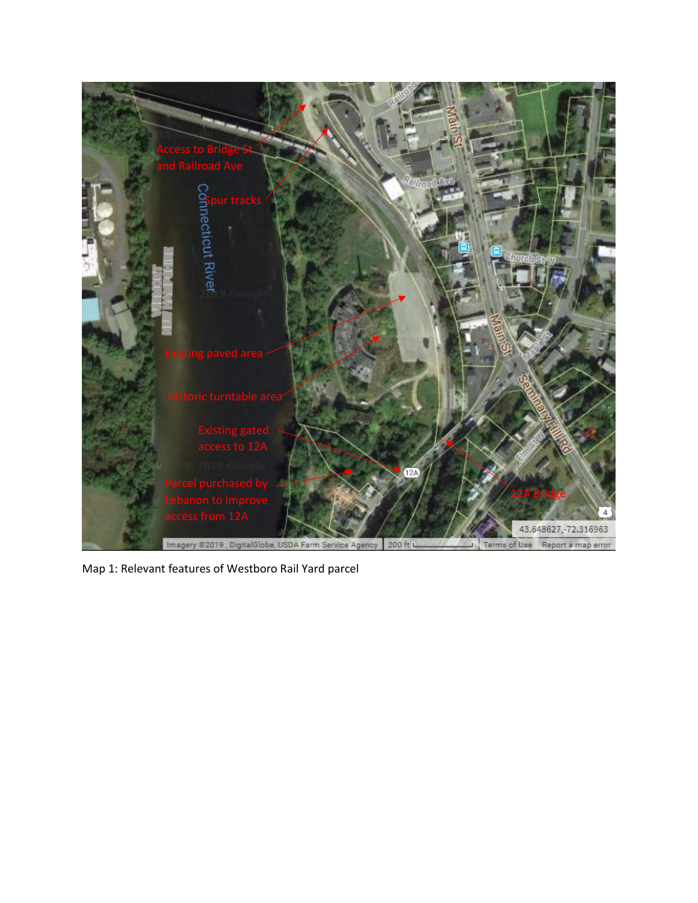

Map 1: Relevant features of Westboro Rail Yard parcel